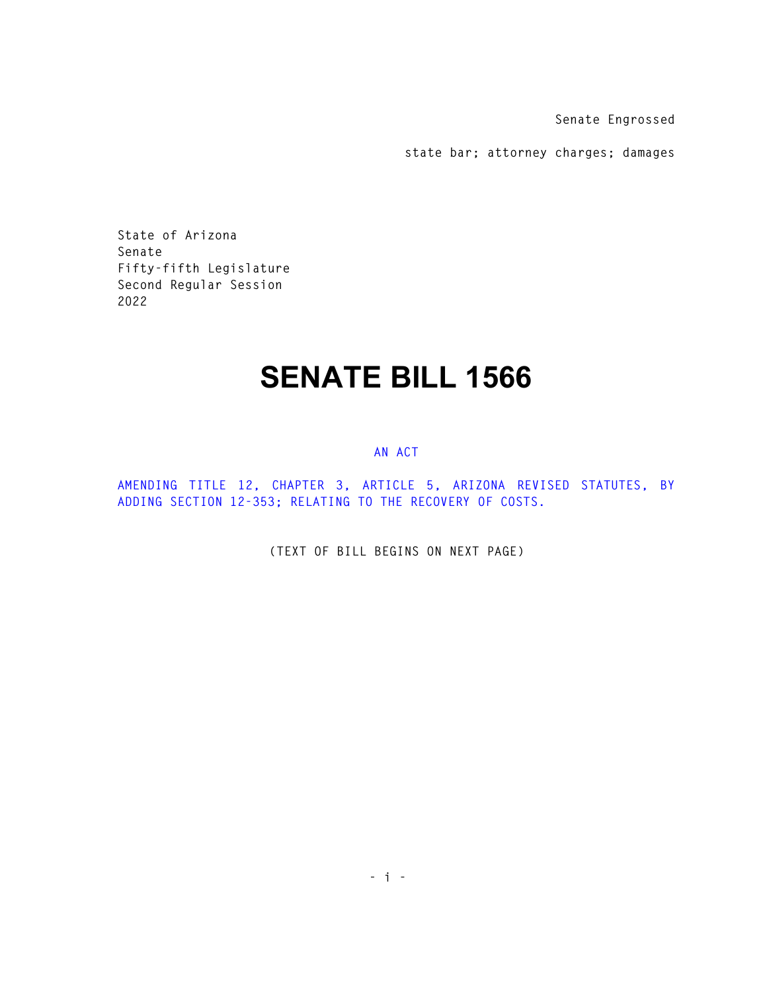**Senate Engrossed** 

**state bar; attorney charges; damages** 

**State of Arizona Senate Fifty-fifth Legislature Second Regular Session 2022** 

## **SENATE BILL 1566**

## **AN ACT**

**AMENDING TITLE 12, CHAPTER 3, ARTICLE 5, ARIZONA REVISED STATUTES, BY ADDING SECTION 12-353; RELATING TO THE RECOVERY OF COSTS.** 

**(TEXT OF BILL BEGINS ON NEXT PAGE)**